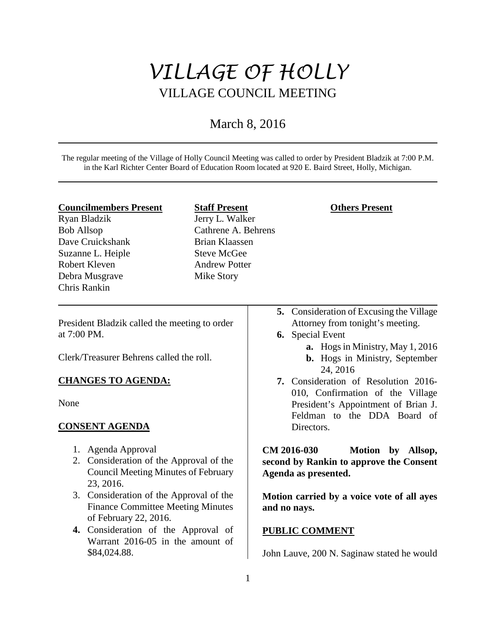# *VILLAGE OF HOLLY* VILLAGE COUNCIL MEETING

## March 8, 2016

The regular meeting of the Village of Holly Council Meeting was called to order by President Bladzik at 7:00 P.M. in the Karl Richter Center Board of Education Room located at 920 E. Baird Street, Holly, Michigan.

#### **Councilmembers Present**

Ryan Bladzik Bob Allsop Dave Cruickshank Suzanne L. Heiple Robert Kleven Debra Musgrave Chris Rankin

## **Staff Present**

Jerry L. Walker Cathrene A. Behrens Brian Klaassen Steve McGee Andrew Potter Mike Story

### **Others Present**

- **5.** Consideration of Excusing the Village Attorney from tonight's meeting.
- **6.** Special Event
	- **a.** Hogs in Ministry, May 1, 2016
	- **b.** Hogs in Ministry, September 24, 2016
- **7.** Consideration of Resolution 2016- 010, Confirmation of the Village President's Appointment of Brian J. Feldman to the DDA Board of Directors.

**CM 2016-030 Motion by Allsop, second by Rankin to approve the Consent Agenda as presented.** 

**Motion carried by a voice vote of all ayes and no nays.** 

## **PUBLIC COMMENT**

John Lauve, 200 N. Saginaw stated he would

President Bladzik called the meeting to order at 7:00 PM.

Clerk/Treasurer Behrens called the roll.

## **CHANGES TO AGENDA:**

None

## **CONSENT AGENDA**

- 1. Agenda Approval
- 2. Consideration of the Approval of the Council Meeting Minutes of February 23, 2016.
- 3. Consideration of the Approval of the Finance Committee Meeting Minutes of February 22, 2016.
- **4.** Consideration of the Approval of Warrant 2016-05 in the amount of \$84,024.88.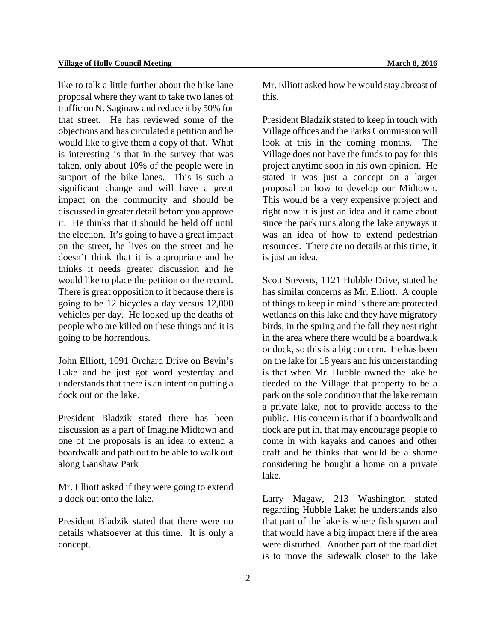like to talk a little further about the bike lane proposal where they want to take two lanes of traffic on N. Saginaw and reduce it by 50% for that street. He has reviewed some of the objections and has circulated a petition and he would like to give them a copy of that. What is interesting is that in the survey that was taken, only about 10% of the people were in support of the bike lanes. This is such a significant change and will have a great impact on the community and should be discussed in greater detail before you approve it. He thinks that it should be held off until the election. It's going to have a great impact on the street, he lives on the street and he doesn't think that it is appropriate and he thinks it needs greater discussion and he would like to place the petition on the record. There is great opposition to it because there is going to be 12 bicycles a day versus 12,000 vehicles per day. He looked up the deaths of people who are killed on these things and it is going to be horrendous.

John Elliott, 1091 Orchard Drive on Bevin's Lake and he just got word yesterday and understands that there is an intent on putting a dock out on the lake.

President Bladzik stated there has been discussion as a part of Imagine Midtown and one of the proposals is an idea to extend a boardwalk and path out to be able to walk out along Ganshaw Park

Mr. Elliott asked if they were going to extend a dock out onto the lake.

President Bladzik stated that there were no details whatsoever at this time. It is only a concept.

Mr. Elliott asked how he would stay abreast of this.

President Bladzik stated to keep in touch with Village offices and the Parks Commission will look at this in the coming months. The Village does not have the funds to pay for this project anytime soon in his own opinion. He stated it was just a concept on a larger proposal on how to develop our Midtown. This would be a very expensive project and right now it is just an idea and it came about since the park runs along the lake anyways it was an idea of how to extend pedestrian resources. There are no details at this time, it is just an idea.

Scott Stevens, 1121 Hubble Drive, stated he has similar concerns as Mr. Elliott. A couple of things to keep in mind is there are protected wetlands on this lake and they have migratory birds, in the spring and the fall they nest right in the area where there would be a boardwalk or dock, so this is a big concern. He has been on the lake for 18 years and his understanding is that when Mr. Hubble owned the lake he deeded to the Village that property to be a park on the sole condition that the lake remain a private lake, not to provide access to the public. His concern is that if a boardwalk and dock are put in, that may encourage people to come in with kayaks and canoes and other craft and he thinks that would be a shame considering he bought a home on a private lake.

Larry Magaw, 213 Washington stated regarding Hubble Lake; he understands also that part of the lake is where fish spawn and that would have a big impact there if the area were disturbed. Another part of the road diet is to move the sidewalk closer to the lake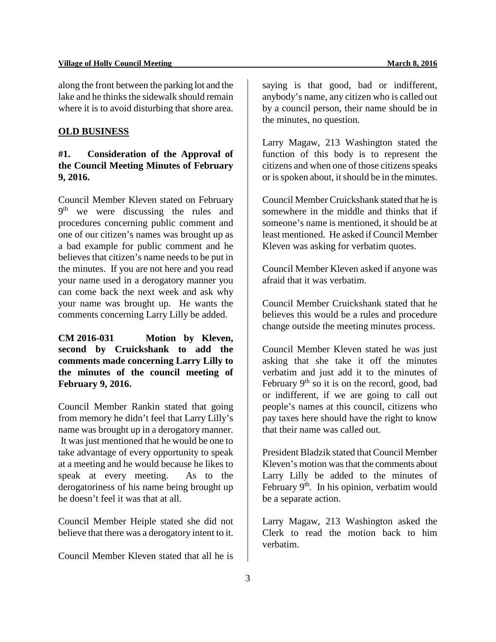along the front between the parking lot and the lake and he thinks the sidewalk should remain where it is to avoid disturbing that shore area.

#### **OLD BUSINESS**

## **#1. Consideration of the Approval of the Council Meeting Minutes of February 9, 2016.**

Council Member Kleven stated on February 9<sup>th</sup> we were discussing the rules and procedures concerning public comment and one of our citizen's names was brought up as a bad example for public comment and he believes that citizen's name needs to be put in the minutes. If you are not here and you read your name used in a derogatory manner you can come back the next week and ask why your name was brought up. He wants the comments concerning Larry Lilly be added.

**CM 2016-031 Motion by Kleven, second by Cruickshank to add the comments made concerning Larry Lilly to the minutes of the council meeting of February 9, 2016.** 

Council Member Rankin stated that going from memory he didn't feel that Larry Lilly's name was brought up in a derogatory manner. It was just mentioned that he would be one to take advantage of every opportunity to speak at a meeting and he would because he likes to speak at every meeting. As to the derogatoriness of his name being brought up he doesn't feel it was that at all.

Council Member Heiple stated she did not believe that there was a derogatory intent to it.

Council Member Kleven stated that all he is

saying is that good, bad or indifferent, anybody's name, any citizen who is called out by a council person, their name should be in the minutes, no question.

Larry Magaw, 213 Washington stated the function of this body is to represent the citizens and when one of those citizens speaks or is spoken about, it should be in the minutes.

Council Member Cruickshank stated that he is somewhere in the middle and thinks that if someone's name is mentioned, it should be at least mentioned. He asked if Council Member Kleven was asking for verbatim quotes.

Council Member Kleven asked if anyone was afraid that it was verbatim.

Council Member Cruickshank stated that he believes this would be a rules and procedure change outside the meeting minutes process.

Council Member Kleven stated he was just asking that she take it off the minutes verbatim and just add it to the minutes of February  $9<sup>th</sup>$  so it is on the record, good, bad or indifferent, if we are going to call out people's names at this council, citizens who pay taxes here should have the right to know that their name was called out.

President Bladzik stated that Council Member Kleven's motion was that the comments about Larry Lilly be added to the minutes of February  $9<sup>th</sup>$ . In his opinion, verbatim would be a separate action.

Larry Magaw, 213 Washington asked the Clerk to read the motion back to him verbatim.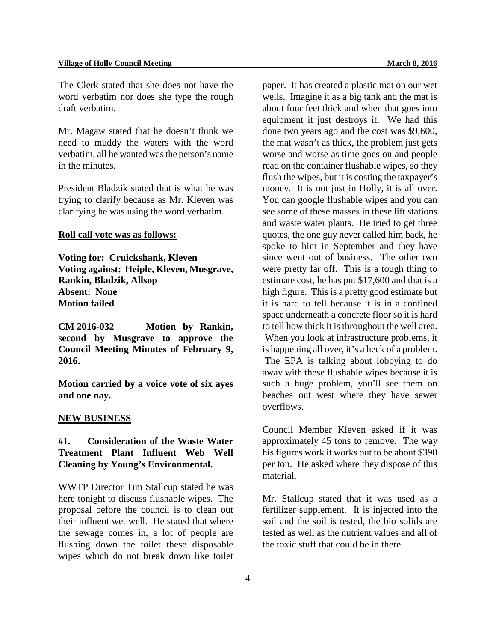The Clerk stated that she does not have the word verbatim nor does she type the rough draft verbatim.

Mr. Magaw stated that he doesn't think we need to muddy the waters with the word verbatim, all he wanted was the person's name in the minutes.

President Bladzik stated that is what he was trying to clarify because as Mr. Kleven was clarifying he was using the word verbatim.

#### **Roll call vote was as follows:**

**Voting for: Cruickshank, Kleven Voting against: Heiple, Kleven, Musgrave, Rankin, Bladzik, Allsop Absent: None Motion failed**

**CM 2016-032 Motion by Rankin, second by Musgrave to approve the Council Meeting Minutes of February 9, 2016.** 

**Motion carried by a voice vote of six ayes and one nay.** 

#### **NEW BUSINESS**

## **#1. Consideration of the Waste Water Treatment Plant Influent Web Well Cleaning by Young's Environmental.**

WWTP Director Tim Stallcup stated he was here tonight to discuss flushable wipes. The proposal before the council is to clean out their influent wet well. He stated that where the sewage comes in, a lot of people are flushing down the toilet these disposable wipes which do not break down like toilet paper. It has created a plastic mat on our wet wells. Imagine it as a big tank and the mat is about four feet thick and when that goes into equipment it just destroys it. We had this done two years ago and the cost was \$9,600, the mat wasn't as thick, the problem just gets worse and worse as time goes on and people read on the container flushable wipes, so they flush the wipes, but it is costing the taxpayer's money. It is not just in Holly, it is all over. You can google flushable wipes and you can see some of these masses in these lift stations and waste water plants. He tried to get three quotes, the one guy never called him back, he spoke to him in September and they have since went out of business. The other two were pretty far off. This is a tough thing to estimate cost, he has put \$17,600 and that is a high figure. This is a pretty good estimate but it is hard to tell because it is in a confined space underneath a concrete floor so it is hard to tell how thick it is throughout the well area. When you look at infrastructure problems, it is happening all over, it's a heck of a problem. The EPA is talking about lobbying to do away with these flushable wipes because it is such a huge problem, you'll see them on beaches out west where they have sewer overflows.

Council Member Kleven asked if it was approximately 45 tons to remove. The way his figures work it works out to be about \$390 per ton. He asked where they dispose of this material.

Mr. Stallcup stated that it was used as a fertilizer supplement. It is injected into the soil and the soil is tested, the bio solids are tested as well as the nutrient values and all of the toxic stuff that could be in there.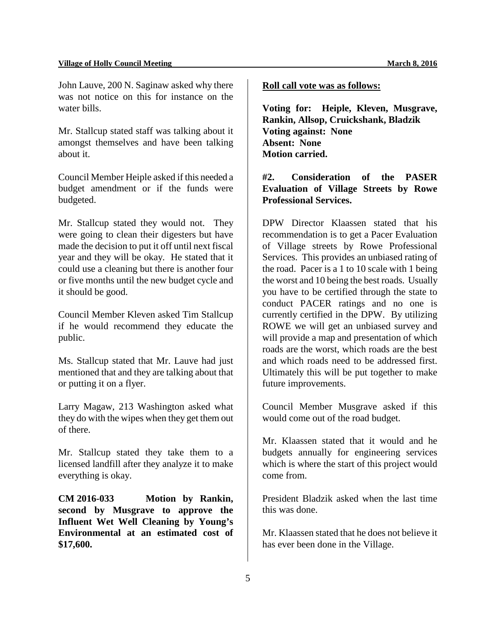John Lauve, 200 N. Saginaw asked why there was not notice on this for instance on the water bills.

Mr. Stallcup stated staff was talking about it amongst themselves and have been talking about it.

Council Member Heiple asked if this needed a budget amendment or if the funds were budgeted.

Mr. Stallcup stated they would not. They were going to clean their digesters but have made the decision to put it off until next fiscal year and they will be okay. He stated that it could use a cleaning but there is another four or five months until the new budget cycle and it should be good.

Council Member Kleven asked Tim Stallcup if he would recommend they educate the public.

Ms. Stallcup stated that Mr. Lauve had just mentioned that and they are talking about that or putting it on a flyer.

Larry Magaw, 213 Washington asked what they do with the wipes when they get them out of there.

Mr. Stallcup stated they take them to a licensed landfill after they analyze it to make everything is okay.

**CM 2016-033 Motion by Rankin, second by Musgrave to approve the Influent Wet Well Cleaning by Young's Environmental at an estimated cost of \$17,600.** 

#### **Roll call vote was as follows:**

**Voting for: Heiple, Kleven, Musgrave, Rankin, Allsop, Cruickshank, Bladzik Voting against: None Absent: None Motion carried.** 

## **#2. Consideration of the PASER Evaluation of Village Streets by Rowe Professional Services.**

DPW Director Klaassen stated that his recommendation is to get a Pacer Evaluation of Village streets by Rowe Professional Services. This provides an unbiased rating of the road. Pacer is a 1 to 10 scale with 1 being the worst and 10 being the best roads. Usually you have to be certified through the state to conduct PACER ratings and no one is currently certified in the DPW. By utilizing ROWE we will get an unbiased survey and will provide a map and presentation of which roads are the worst, which roads are the best and which roads need to be addressed first. Ultimately this will be put together to make future improvements.

Council Member Musgrave asked if this would come out of the road budget.

Mr. Klaassen stated that it would and he budgets annually for engineering services which is where the start of this project would come from.

President Bladzik asked when the last time this was done.

Mr. Klaassen stated that he does not believe it has ever been done in the Village.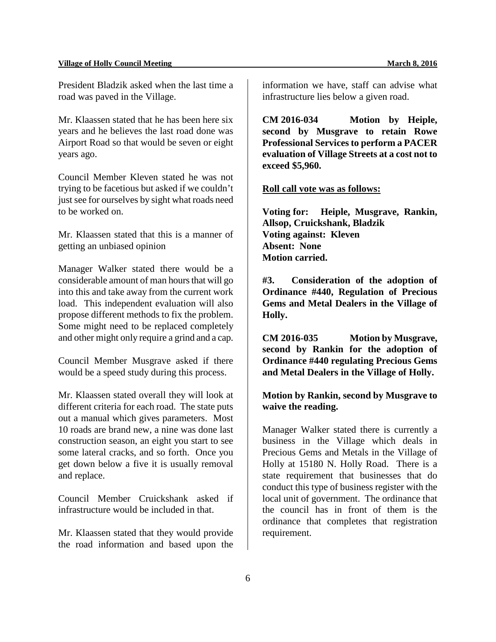President Bladzik asked when the last time a road was paved in the Village.

Mr. Klaassen stated that he has been here six years and he believes the last road done was Airport Road so that would be seven or eight years ago.

Council Member Kleven stated he was not trying to be facetious but asked if we couldn't just see for ourselves by sight what roads need to be worked on.

Mr. Klaassen stated that this is a manner of getting an unbiased opinion

Manager Walker stated there would be a considerable amount of man hours that will go into this and take away from the current work load. This independent evaluation will also propose different methods to fix the problem. Some might need to be replaced completely and other might only require a grind and a cap.

Council Member Musgrave asked if there would be a speed study during this process.

Mr. Klaassen stated overall they will look at different criteria for each road. The state puts out a manual which gives parameters. Most 10 roads are brand new, a nine was done last construction season, an eight you start to see some lateral cracks, and so forth. Once you get down below a five it is usually removal and replace.

Council Member Cruickshank asked if infrastructure would be included in that.

Mr. Klaassen stated that they would provide the road information and based upon the

information we have, staff can advise what infrastructure lies below a given road.

**CM 2016-034 Motion by Heiple, second by Musgrave to retain Rowe Professional Services to perform a PACER evaluation of Village Streets at a cost not to exceed \$5,960.** 

#### **Roll call vote was as follows:**

**Voting for: Heiple, Musgrave, Rankin, Allsop, Cruickshank, Bladzik Voting against: Kleven Absent: None Motion carried.** 

**#3. Consideration of the adoption of Ordinance #440, Regulation of Precious Gems and Metal Dealers in the Village of Holly.** 

**CM 2016-035 Motion by Musgrave, second by Rankin for the adoption of Ordinance #440 regulating Precious Gems and Metal Dealers in the Village of Holly.** 

**Motion by Rankin, second by Musgrave to waive the reading.** 

Manager Walker stated there is currently a business in the Village which deals in Precious Gems and Metals in the Village of Holly at 15180 N. Holly Road. There is a state requirement that businesses that do conduct this type of business register with the local unit of government. The ordinance that the council has in front of them is the ordinance that completes that registration requirement.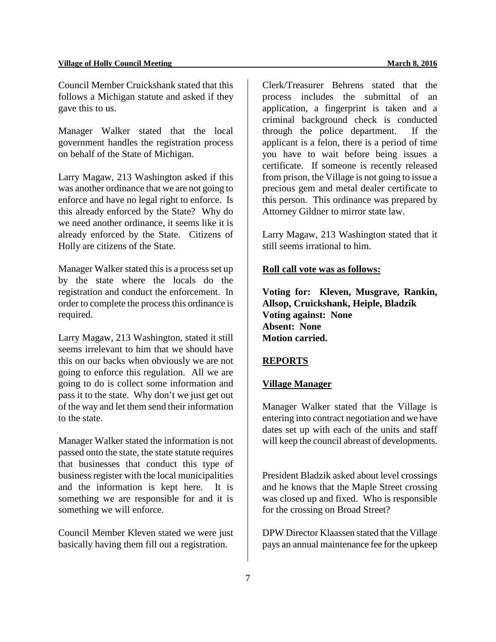Council Member Cruickshank stated that this follows a Michigan statute and asked if they gave this to us.

Manager Walker stated that the local government handles the registration process on behalf of the State of Michigan.

Larry Magaw, 213 Washington asked if this was another ordinance that we are not going to enforce and have no legal right to enforce. Is this already enforced by the State? Why do we need another ordinance, it seems like it is already enforced by the State. Citizens of Holly are citizens of the State.

Manager Walker stated this is a process set up by the state where the locals do the registration and conduct the enforcement. In order to complete the process this ordinance is required.

Larry Magaw, 213 Washington, stated it still seems irrelevant to him that we should have this on our backs when obviously we are not going to enforce this regulation. All we are going to do is collect some information and pass it to the state. Why don't we just get out of the way and let them send their information to the state.

Manager Walker stated the information is not passed onto the state, the state statute requires that businesses that conduct this type of business register with the local municipalities and the information is kept here. It is something we are responsible for and it is something we will enforce.

Council Member Kleven stated we were just basically having them fill out a registration.

Clerk/Treasurer Behrens stated that the process includes the submittal of an application, a fingerprint is taken and a criminal background check is conducted through the police department. If the applicant is a felon, there is a period of time you have to wait before being issues a certificate. If someone is recently released from prison, the Village is not going to issue a precious gem and metal dealer certificate to this person. This ordinance was prepared by Attorney Gildner to mirror state law.

Larry Magaw, 213 Washington stated that it still seems irrational to him.

#### **Roll call vote was as follows:**

**Voting for: Kleven, Musgrave, Rankin, Allsop, Cruickshank, Heiple, Bladzik Voting against: None Absent: None Motion carried.** 

#### **REPORTS**

#### **Village Manager**

Manager Walker stated that the Village is entering into contract negotiation and we have dates set up with each of the units and staff will keep the council abreast of developments.

President Bladzik asked about level crossings and he knows that the Maple Street crossing was closed up and fixed. Who is responsible for the crossing on Broad Street?

DPW Director Klaassen stated that the Village pays an annual maintenance fee for the upkeep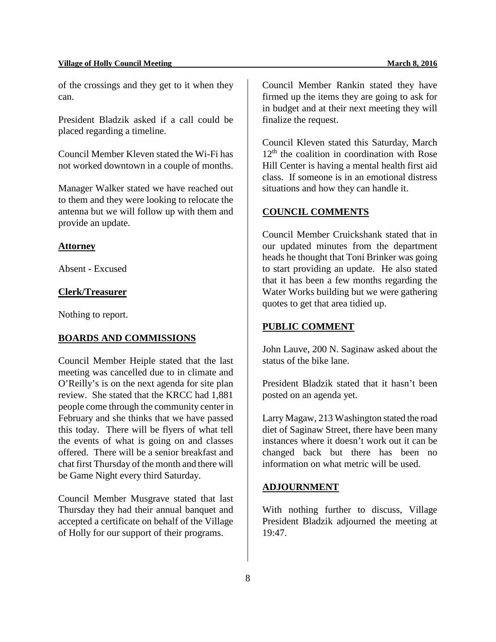of the crossings and they get to it when they can.

President Bladzik asked if a call could be placed regarding a timeline.

Council Member Kleven stated the Wi-Fi has not worked downtown in a couple of months.

Manager Walker stated we have reached out to them and they were looking to relocate the antenna but we will follow up with them and provide an update.

#### **Attorney**

Absent - Excused

#### **Clerk/Treasurer**

Nothing to report.

#### **BOARDS AND COMMISSIONS**

Council Member Heiple stated that the last meeting was cancelled due to in climate and O'Reilly's is on the next agenda for site plan review. She stated that the KRCC had 1,881 people come through the community center in February and she thinks that we have passed this today. There will be flyers of what tell the events of what is going on and classes offered. There will be a senior breakfast and chat first Thursday of the month and there will be Game Night every third Saturday.

Council Member Musgrave stated that last Thursday they had their annual banquet and accepted a certificate on behalf of the Village of Holly for our support of their programs.

Council Member Rankin stated they have firmed up the items they are going to ask for in budget and at their next meeting they will finalize the request.

Council Kleven stated this Saturday, March  $12<sup>th</sup>$  the coalition in coordination with Rose Hill Center is having a mental health first aid class. If someone is in an emotional distress situations and how they can handle it.

#### **COUNCIL COMMENTS**

Council Member Cruickshank stated that in our updated minutes from the department heads he thought that Toni Brinker was going to start providing an update. He also stated that it has been a few months regarding the Water Works building but we were gathering quotes to get that area tidied up.

#### **PUBLIC COMMENT**

John Lauve, 200 N. Saginaw asked about the status of the bike lane.

President Bladzik stated that it hasn't been posted on an agenda yet.

Larry Magaw, 213 Washington stated the road diet of Saginaw Street, there have been many instances where it doesn't work out it can be changed back but there has been no information on what metric will be used.

#### **ADJOURNMENT**

With nothing further to discuss, Village President Bladzik adjourned the meeting at 19:47.